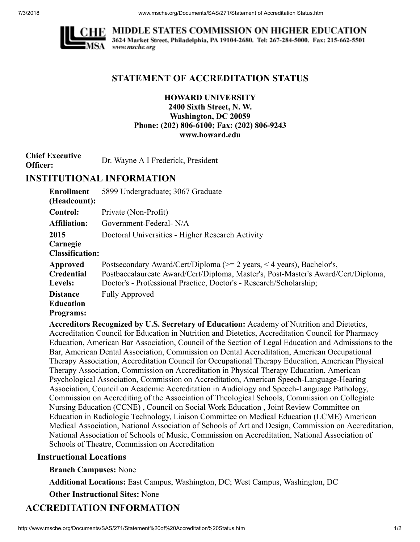

**MIDDLE STATES COMMISSION ON HIGHER EDUCATION** 3624 Market Street, Philadelphia, PA 19104-2680. Tel: 267-284-5000. Fax: 215-662-5501 www.msche.org

## **STATEMENT OF ACCREDITATION STATUS**

### **HOWARD UNIVERSITY 2400 Sixth Street, N. W. Washington, DC 20059 Phone: (202) 806-6100; Fax: (202) 806-9243 www.howard.edu**

**Chief Executive Officer:** Dr. Wayne A I Frederick, President

# **INSTITUTIONAL INFORMATION**

| <b>Enrollment</b>                                       | 5899 Undergraduate; 3067 Graduate                                                                                                                                                                                                    |
|---------------------------------------------------------|--------------------------------------------------------------------------------------------------------------------------------------------------------------------------------------------------------------------------------------|
| (Headcount):                                            |                                                                                                                                                                                                                                      |
| <b>Control:</b>                                         | Private (Non-Profit)                                                                                                                                                                                                                 |
| <b>Affiliation:</b>                                     | Government-Federal-N/A                                                                                                                                                                                                               |
| 2015                                                    | Doctoral Universities - Higher Research Activity                                                                                                                                                                                     |
| Carnegie<br><b>Classification:</b>                      |                                                                                                                                                                                                                                      |
| Approved<br><b>Credential</b><br>Levels:                | Postsecondary Award/Cert/Diploma ( $\ge$ 2 years, < 4 years), Bachelor's,<br>Postbaccalaureate Award/Cert/Diploma, Master's, Post-Master's Award/Cert/Diploma,<br>Doctor's - Professional Practice, Doctor's - Research/Scholarship; |
| <b>Distance</b><br><b>Education</b><br><b>Programs:</b> | <b>Fully Approved</b>                                                                                                                                                                                                                |

**Accreditors Recognized by U.S. Secretary of Education:** Academy of Nutrition and Dietetics, Accreditation Council for Education in Nutrition and Dietetics, Accreditation Council for Pharmacy Education, American Bar Association, Council of the Section of Legal Education and Admissions to the Bar, American Dental Association, Commission on Dental Accreditation, American Occupational Therapy Association, Accreditation Council for Occupational Therapy Education, American Physical Therapy Association, Commission on Accreditation in Physical Therapy Education, American Psychological Association, Commission on Accreditation, American Speech-Language-Hearing Association, Council on Academic Accreditation in Audiology and Speech-Language Pathology, Commission on Accrediting of the Association of Theological Schools, Commission on Collegiate Nursing Education (CCNE) , Council on Social Work Education , Joint Review Committee on Education in Radiologic Technology, Liaison Committee on Medical Education (LCME) American Medical Association, National Association of Schools of Art and Design, Commission on Accreditation, National Association of Schools of Music, Commission on Accreditation, National Association of Schools of Theatre, Commission on Accreditation

## **Instructional Locations**

**Branch Campuses:** None

**Additional Locations:** East Campus, Washington, DC; West Campus, Washington, DC

**Other Instructional Sites:** None

# **ACCREDITATION INFORMATION**